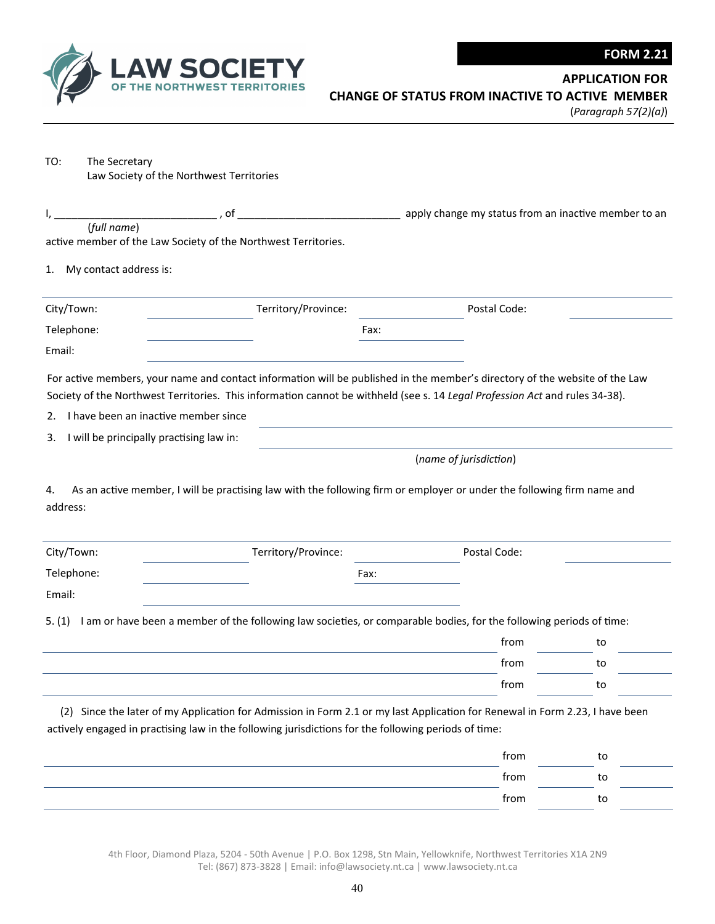

**APPLICATION FOR** 

(*Paragraph 57(2)(a)*)

| TO: | The Secretary                            |
|-----|------------------------------------------|
|     | Law Society of the Northwest Territories |

|                                                | , of                                                                                                 | apply change my status from an inactive member to an                                                                         |    |
|------------------------------------------------|------------------------------------------------------------------------------------------------------|------------------------------------------------------------------------------------------------------------------------------|----|
| (full name)                                    | active member of the Law Society of the Northwest Territories.                                       |                                                                                                                              |    |
|                                                |                                                                                                      |                                                                                                                              |    |
| My contact address is:<br>1.                   |                                                                                                      |                                                                                                                              |    |
| City/Town:                                     | Territory/Province:                                                                                  | Postal Code:                                                                                                                 |    |
| Telephone:                                     |                                                                                                      | Fax:                                                                                                                         |    |
| Email:                                         |                                                                                                      |                                                                                                                              |    |
|                                                |                                                                                                      | For active members, your name and contact information will be published in the member's directory of the website of the Law  |    |
|                                                |                                                                                                      | Society of the Northwest Territories. This information cannot be withheld (see s. 14 Legal Profession Act and rules 34-38).  |    |
| I have been an inactive member since<br>2.     |                                                                                                      |                                                                                                                              |    |
| I will be principally practising law in:<br>3. |                                                                                                      |                                                                                                                              |    |
|                                                |                                                                                                      | (name of jurisdiction)                                                                                                       |    |
| address:                                       |                                                                                                      |                                                                                                                              |    |
|                                                |                                                                                                      |                                                                                                                              |    |
|                                                | Territory/Province:                                                                                  | Postal Code:                                                                                                                 |    |
|                                                | Fax:                                                                                                 |                                                                                                                              |    |
|                                                |                                                                                                      |                                                                                                                              |    |
|                                                |                                                                                                      | I am or have been a member of the following law societies, or comparable bodies, for the following periods of time:<br>from  | to |
|                                                |                                                                                                      | from                                                                                                                         | to |
|                                                |                                                                                                      | from                                                                                                                         | to |
| City/Town:<br>Telephone:<br>Email:<br>5. (1)   | actively engaged in practising law in the following jurisdictions for the following periods of time: | (2) Since the later of my Application for Admission in Form 2.1 or my last Application for Renewal in Form 2.23, I have been |    |
|                                                |                                                                                                      | from                                                                                                                         | to |
|                                                |                                                                                                      | from                                                                                                                         | to |

4th Floor, Diamond Plaza, 5204 ‐ 50th Avenue | P.O. Box 1298, Stn Main, Yellowknife, Northwest Territories X1A 2N9 Tel: (867) 873‐3828 | Email: info@lawsociety.nt.ca | www.lawsociety.nt.ca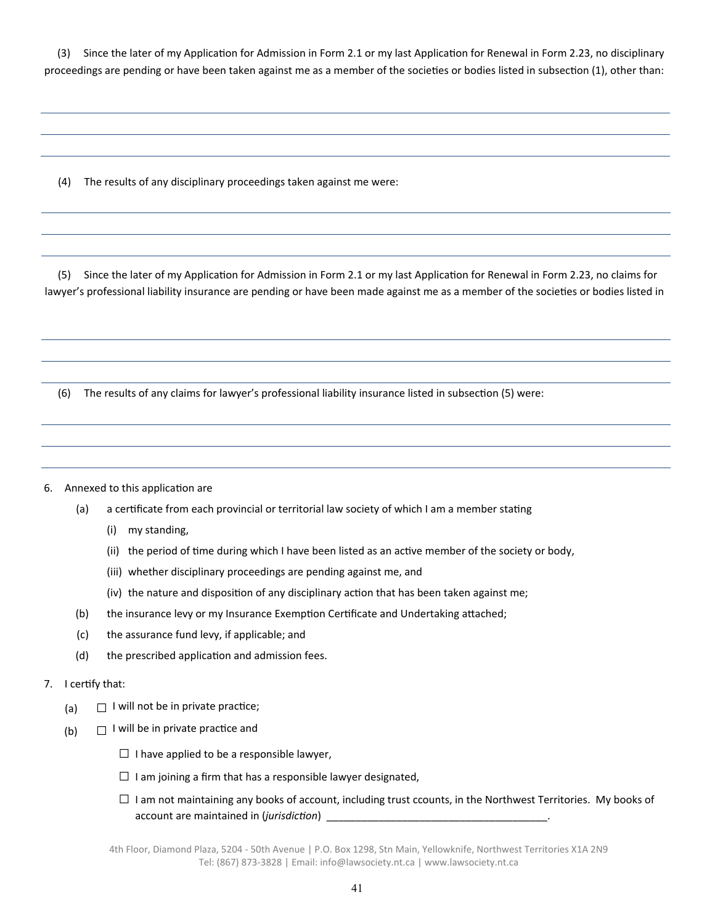(3) Since the later of my Application for Admission in Form 2.1 or my last Application for Renewal in Form 2.23, no disciplinary proceedings are pending or have been taken against me as a member of the societies or bodies listed in subsection (1), other than:

(4) The results of any disciplinary proceedings taken against me were:

(5) Since the later of my Application for Admission in Form 2.1 or my last Application for Renewal in Form 2.23, no claims for lawyer's professional liability insurance are pending or have been made against me as a member of the societies or bodies listed in

(6) The results of any claims for lawyer's professional liability insurance listed in subsection (5) were:

## 6. Annexed to this application are

- (a) a certificate from each provincial or territorial law society of which I am a member stating
	- (i) my standing,
	- (ii) the period of time during which I have been listed as an active member of the society or body,
	- (iii) whether disciplinary proceedings are pending against me, and
	- (iv) the nature and disposition of any disciplinary action that has been taken against me;
- (b) the insurance levy or my Insurance Exemption Certificate and Undertaking attached;
- (c) the assurance fund levy, if applicable; and
- (d) the prescribed application and admission fees.

## 7. I certify that:

- (a)  $\Box$  I will not be in private practice;
- (b)  $\Box$  I will be in private practice and
	- $\square$  I have applied to be a responsible lawyer,
	- $\square$  I am joining a firm that has a responsible lawyer designated,
	- $\square$  I am not maintaining any books of account, including trust ccounts, in the Northwest Territories. My books of account are maintained in (*jurisdicƟon*) \_\_\_\_\_\_\_\_\_\_\_\_\_\_\_\_\_\_\_\_\_\_\_\_\_\_\_\_\_\_\_\_\_\_\_\_\_\_.

4th Floor, Diamond Plaza, 5204 ‐ 50th Avenue | P.O. Box 1298, Stn Main, Yellowknife, Northwest Territories X1A 2N9 Tel: (867) 873‐3828 | Email: info@lawsociety.nt.ca | www.lawsociety.nt.ca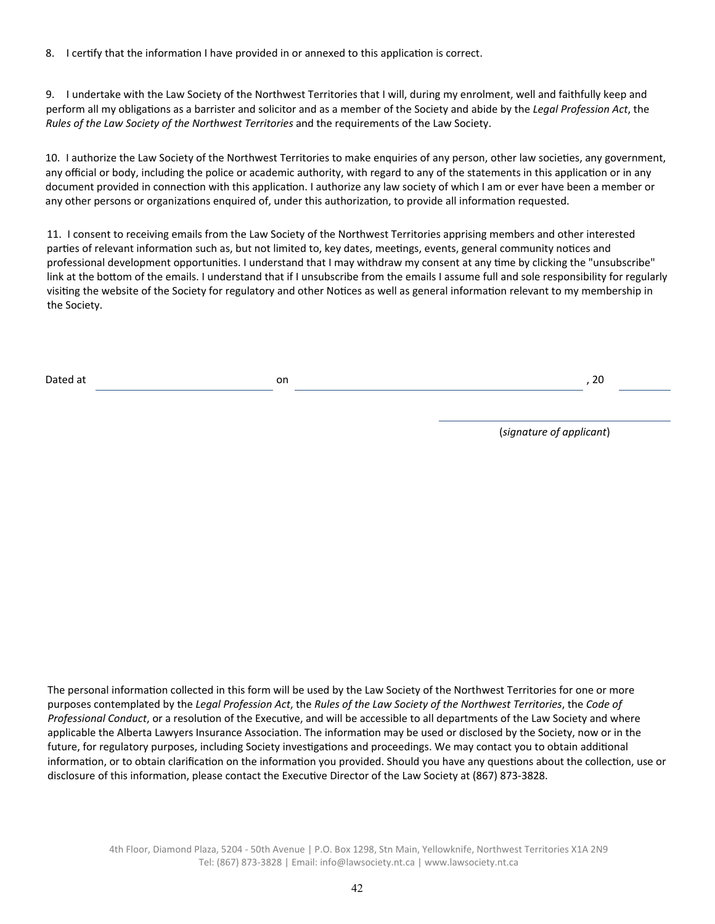8. I certify that the information I have provided in or annexed to this application is correct.

9. I undertake with the Law Society of the Northwest Territories that I will, during my enrolment, well and faithfully keep and perform all my obligaƟons as a barrister and solicitor and as a member of the Society and abide by the *Legal Profession Act*, the *Rules of the Law Society of the Northwest Territories* and the requirements of the Law Society.

10. I authorize the Law Society of the Northwest Territories to make enquiries of any person, other law societies, any government, any official or body, including the police or academic authority, with regard to any of the statements in this application or in any document provided in connection with this application. I authorize any law society of which I am or ever have been a member or any other persons or organizations enquired of, under this authorization, to provide all information requested.

11. I consent to receiving emails from the Law Society of the Northwest Territories apprising members and other interested parties of relevant information such as, but not limited to, key dates, meetings, events, general community notices and professional development opportunities. I understand that I may withdraw my consent at any time by clicking the "unsubscribe" link at the bottom of the emails. I understand that if I unsubscribe from the emails I assume full and sole responsibility for regularly visiting the website of the Society for regulatory and other Notices as well as general information relevant to my membership in the Society.

| латеп | Ωr<br>ບເ<br>$ -$ | $\sim$<br>$ \sim$ |  |
|-------|------------------|-------------------|--|
|       |                  |                   |  |

(*signature of applicant*)

The personal information collected in this form will be used by the Law Society of the Northwest Territories for one or more purposes contemplated by the *Legal Profession Act*, the *Rules of the Law Society of the Northwest Territories*, the *Code of Professional Conduct*, or a resolution of the Executive, and will be accessible to all departments of the Law Society and where applicable the Alberta Lawyers Insurance Association. The information may be used or disclosed by the Society, now or in the future, for regulatory purposes, including Society investigations and proceedings. We may contact you to obtain additional information, or to obtain clarification on the information you provided. Should you have any questions about the collection, use or disclosure of this information, please contact the Executive Director of the Law Society at (867) 873-3828.